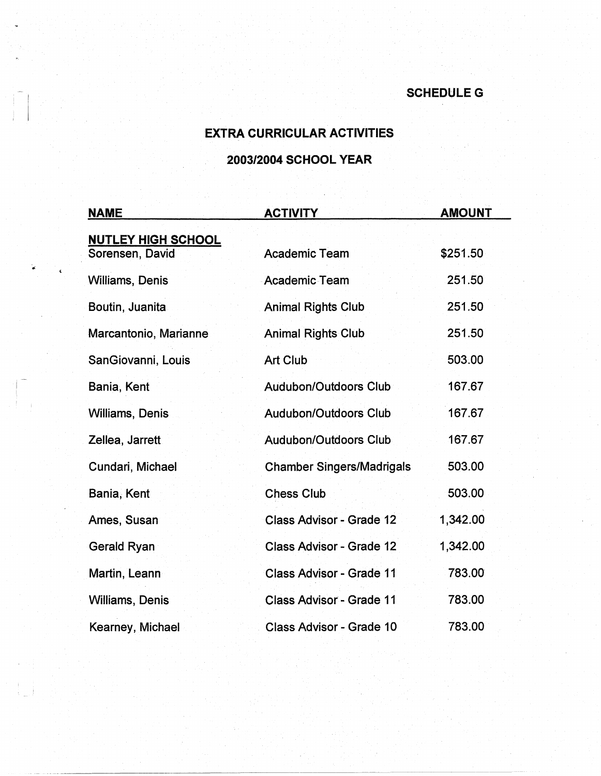## **SCHEDULEG**

## **EXTRA CURRICULAR ACTIVITIES**

## **2003/2004 SCHOOL YEAR**

| <b>NAME</b>                                  | <b>ACTIVITY</b>                  | <b>AMOUNT</b> |
|----------------------------------------------|----------------------------------|---------------|
| <u>NUTLEY HIGH SCHOOL</u><br>Sorensen, David | <b>Academic Team</b>             | \$251.50      |
| <b>Williams, Denis</b>                       | <b>Academic Team</b>             | 251.50        |
| Boutin, Juanita                              | <b>Animal Rights Club</b>        | 251.50        |
| Marcantonio, Marianne                        | <b>Animal Rights Club</b>        | 251.50        |
| SanGiovanni, Louis                           | <b>Art Club</b>                  | 503.00        |
| Bania, Kent                                  | <b>Audubon/Outdoors Club</b>     | 167.67        |
| <b>Williams, Denis</b>                       | <b>Audubon/Outdoors Club</b>     | 167.67        |
| Zellea, Jarrett                              | <b>Audubon/Outdoors Club</b>     | 167.67        |
| Cundari, Michael                             | <b>Chamber Singers/Madrigals</b> | 503.00        |
| Bania, Kent                                  | <b>Chess Club</b>                | 503.00        |
| Ames, Susan                                  | <b>Class Advisor - Grade 12</b>  | 1,342.00      |
| <b>Gerald Ryan</b>                           | <b>Class Advisor - Grade 12</b>  | 1,342.00      |
| Martin, Leann                                | <b>Class Advisor - Grade 11</b>  | 783.00        |
| <b>Williams, Denis</b>                       | <b>Class Advisor - Grade 11</b>  | 783.00        |
| Kearney, Michael                             | <b>Class Advisor - Grade 10</b>  | 783.00        |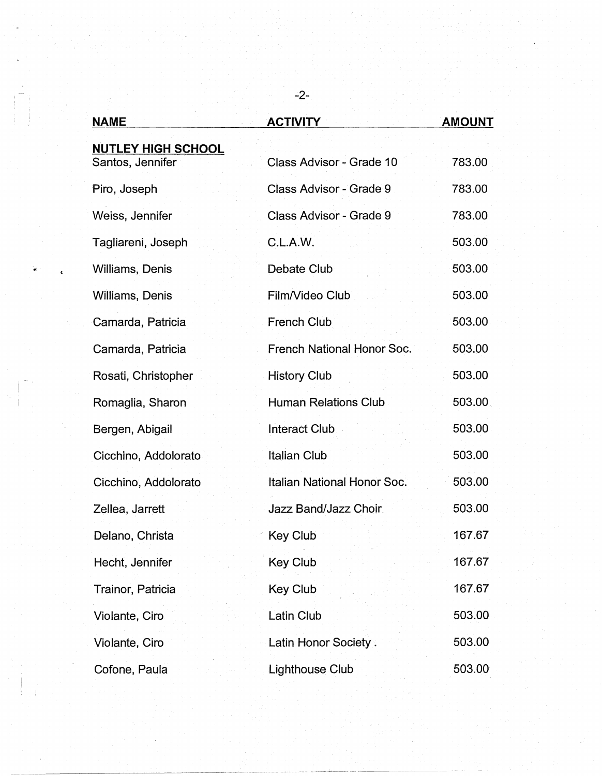| <b>NAME</b>                                   | <b>ACTIVITY</b>                | <b>AMOUNT</b> |
|-----------------------------------------------|--------------------------------|---------------|
| <b>NUTLEY HIGH SCHOOL</b><br>Santos, Jennifer | Class Advisor - Grade 10       | 783.00        |
| Piro, Joseph                                  | <b>Class Advisor - Grade 9</b> | 783.00        |
| Weiss, Jennifer                               | Class Advisor - Grade 9        | 783.00        |
| Tagliareni, Joseph                            | C.L.A.W.                       | 503.00        |
| Williams, Denis                               | <b>Debate Club</b>             | 503.00        |
| Williams, Denis                               | Film/Video Club                | 503.00        |
| Camarda, Patricia                             | <b>French Club</b>             | 503.00        |
| Camarda, Patricia                             | French National Honor Soc.     | 503.00        |
| Rosati, Christopher                           | <b>History Club</b>            | 503.00        |
| Romaglia, Sharon                              | <b>Human Relations Club</b>    | 503.00        |
| Bergen, Abigail                               | <b>Interact Club</b>           | 503.00        |
| Cicchino, Addolorato                          | <b>Italian Club</b>            | 503.00        |
| Cicchino, Addolorato                          | Italian National Honor Soc.    | 503.00        |
| Zellea, Jarrett                               | Jazz Band/Jazz Choir           | 503.00        |
| Delano, Christa                               | <b>Key Club</b>                | 167.67        |
| Hecht, Jennifer                               | <b>Key Club</b>                | 167.67        |
| Trainor, Patricia                             | Key Club                       | 167.67        |
| Violante, Ciro                                | Latin Club                     | 503.00        |
| Violante, Ciro                                | Latin Honor Society .          | 503.00        |
| Cofone, Paula                                 | Lighthouse Club                | 503.00        |

-2-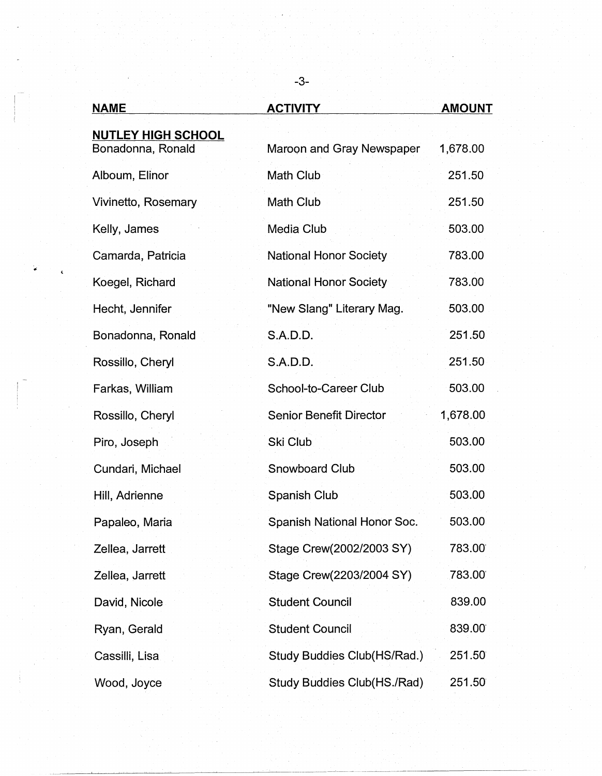| <b>NAME</b>                                    | <b>ACTIVITY</b>                    | <b>AMOUNT</b> |
|------------------------------------------------|------------------------------------|---------------|
| <b>NUTLEY HIGH SCHOOL</b><br>Bonadonna, Ronald | Maroon and Gray Newspaper          | 1,678.00      |
| Alboum, Elinor                                 | <b>Math Club</b>                   | 251.50        |
| Vivinetto, Rosemary                            | Math Club                          | 251.50        |
| Kelly, James                                   | Media Club                         | 503.00        |
| Camarda, Patricia                              | National Honor Society             | 783.00        |
| Koegel, Richard                                | <b>National Honor Society</b>      | 783.00        |
| Hecht, Jennifer                                | "New Slang" Literary Mag.          | 503.00        |
| Bonadonna, Ronald                              | S.A.D.D.                           | 251.50        |
| Rossillo, Cheryl                               | S.A.D.D.                           | 251.50        |
| Farkas, William                                | School-to-Career Club              | 503.00        |
| Rossillo, Cheryl                               | <b>Senior Benefit Director</b>     | 1,678.00      |
| Piro, Joseph                                   | Ski Club                           | 503.00        |
| Cundari, Michael                               | <b>Snowboard Club</b>              | 503.00        |
| Hill, Adrienne                                 | Spanish Club                       | 503.00        |
| Papaleo, Maria                                 | <b>Spanish National Honor Soc.</b> | 503.00        |
| Zellea, Jarrett                                | Stage Crew(2002/2003 SY)           | 783.00        |
| Zellea, Jarrett                                | Stage Crew(2203/2004 SY)           | 783.00        |
| David, Nicole                                  | <b>Student Council</b>             | 839.00        |
| Ryan, Gerald                                   | <b>Student Council</b>             | 839.00        |
| Cassilli, Lisa                                 | Study Buddies Club(HS/Rad.)        | 251.50        |
| Wood, Joyce                                    | Study Buddies Club(HS./Rad)        | 251.50        |

------------- ~-- -~~--- --~--- -----~

•

-3-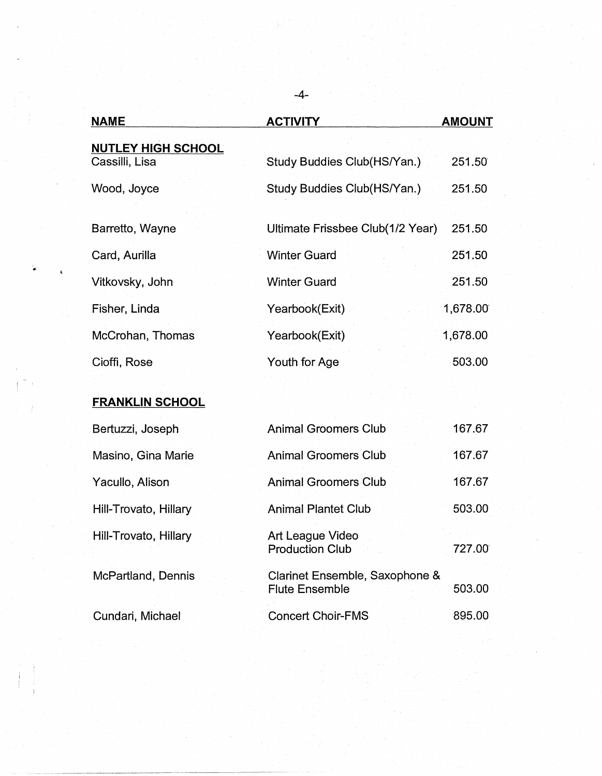|   | <b>NAME</b>                                 | <b>ACTIVITY</b>                  | <b>AMOUNT</b> |
|---|---------------------------------------------|----------------------------------|---------------|
|   | <b>NUTLEY HIGH SCHOOL</b><br>Cassilli, Lisa | Study Buddies Club(HS/Yan.)      | 251.50        |
|   | Wood, Joyce                                 | Study Buddies Club(HS/Yan.)      | 251.50        |
|   | Barretto, Wayne                             | Ultimate Frissbee Club(1/2 Year) | 251.50        |
|   | Card, Aurilla                               | <b>Winter Guard</b>              | 251.50        |
| € | Vitkovsky, John                             | <b>Winter Guard</b>              | 251.50        |
|   | Fisher, Linda                               | Yearbook(Exit)                   | 1,678.00      |
|   | McCrohan, Thomas                            | Yearbook(Exit)                   | 1,678.00      |
|   | Cioffi, Rose                                | Youth for Age                    | 503.00        |
|   |                                             |                                  |               |

## **FRANKLIN SCHOOL**

 $\mathbb{I}^{\mathbb{I}}$ 

| Bertuzzi, Joseph      | <b>Animal Groomers Club</b>                             | 167.67 |
|-----------------------|---------------------------------------------------------|--------|
| Masino, Gina Marie    | <b>Animal Groomers Club</b>                             | 167.67 |
| Yacullo, Alison       | <b>Animal Groomers Club</b>                             | 167.67 |
| Hill-Trovato, Hillary | <b>Animal Plantet Club</b>                              | 503.00 |
| Hill-Trovato, Hillary | Art League Video<br><b>Production Club</b>              | 727.00 |
| McPartland, Dennis    | Clarinet Ensemble, Saxophone &<br><b>Flute Ensemble</b> | 503.00 |
| Cundari, Michael      | <b>Concert Choir-FMS</b>                                | 895.00 |

-4-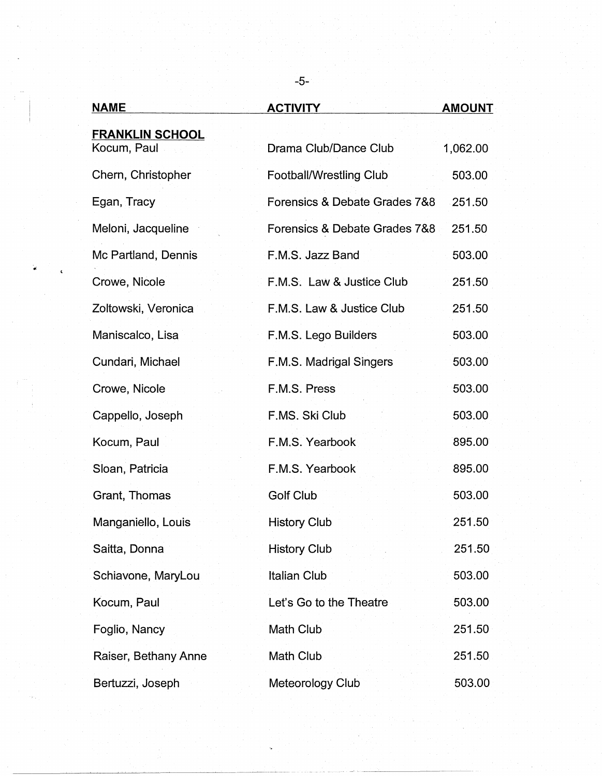| <b>NAME</b>                           | <b>ACTIVITY</b>                | <b>AMOUNT</b> |
|---------------------------------------|--------------------------------|---------------|
| <b>FRANKLIN SCHOOL</b><br>Kocum, Paul | Drama Club/Dance Club          | 1,062.00      |
| Chern, Christopher                    | <b>Football/Wrestling Club</b> | 503.00        |
| Egan, Tracy                           | Forensics & Debate Grades 7&8  | 251.50        |
| Meloni, Jacqueline                    | Forensics & Debate Grades 7&8  | 251.50        |
| Mc Partland, Dennis                   | F.M.S. Jazz Band               | 503.00        |
| Crowe, Nicole                         | F.M.S. Law & Justice Club      | 251.50        |
| Zoltowski, Veronica                   | F.M.S. Law & Justice Club      | 251.50        |
| Maniscalco, Lisa                      | F.M.S. Lego Builders           | 503.00        |
| Cundari, Michael                      | F.M.S. Madrigal Singers        | 503.00        |
| Crowe, Nicole                         | F.M.S. Press                   | 503.00        |
| Cappello, Joseph                      | F.MS. Ski Club                 | 503.00        |
| Kocum, Paul                           | F.M.S. Yearbook                | 895.00        |
| Sloan, Patricia                       | F.M.S. Yearbook                | 895.00        |
| Grant, Thomas                         | <b>Golf Club</b>               | 503.00        |
| Manganiello, Louis                    | <b>History Club</b>            | 251.50        |
| Saitta, Donna                         | <b>History Club</b>            | 251.50        |
| Schiavone, MaryLou                    | <b>Italian Club</b>            | 503.00        |
| Kocum, Paul                           | Let's Go to the Theatre        | 503.00        |
| Foglio, Nancy                         | Math Club                      | 251.50        |
| Raiser, Bethany Anne                  | Math Club                      | 251.50        |
| Bertuzzi, Joseph                      | Meteorology Club               | 503.00        |

•

-5-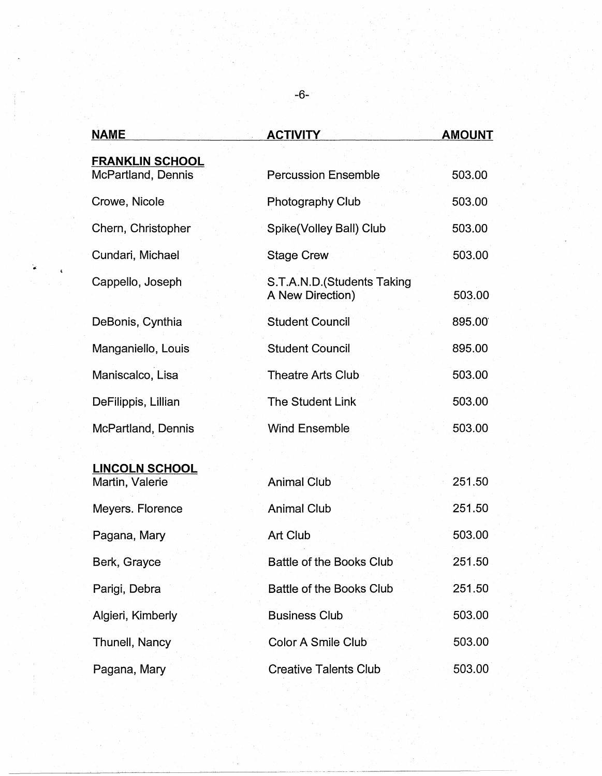| <b>NAME</b>                                  | <b>ACTIVITY</b>                                 | <b>AMOUNT</b> |
|----------------------------------------------|-------------------------------------------------|---------------|
| <b>FRANKLIN SCHOOL</b><br>McPartland, Dennis | <b>Percussion Ensemble</b>                      | 503.00        |
| Crowe, Nicole                                | Photography Club                                | 503.00        |
| Chern, Christopher                           | Spike(Volley Ball) Club                         | 503.00        |
| Cundari, Michael                             | <b>Stage Crew</b>                               | 503.00        |
| Cappello, Joseph                             | S.T.A.N.D. (Students Taking<br>A New Direction) | 503.00        |
| DeBonis, Cynthia                             | <b>Student Council</b>                          | 895.00        |
| Manganiello, Louis                           | <b>Student Council</b>                          | 895.00        |
| Maniscalco, Lisa                             | <b>Theatre Arts Club</b>                        | 503.00        |
| DeFilippis, Lillian                          | <b>The Student Link</b>                         | 503.00        |
| McPartland, Dennis                           | Wind Ensemble                                   | 503.00        |
|                                              |                                                 |               |
| <b>LINCOLN SCHOOL</b><br>Martin, Valerie     | <b>Animal Club</b>                              | 251.50        |
| Meyers. Florence                             | <b>Animal Club</b>                              | 251.50        |
| Pagana, Mary                                 | Art Club                                        | 503.00        |
| Berk, Grayce                                 | Battle of the Books Club                        | 251.50        |
| Parigi, Debra                                | Battle of the Books Club                        | 251.50        |
| Algieri, Kimberly                            | <b>Business Club</b>                            | 503.00        |
| Thunell, Nancy                               | <b>Color A Smile Club</b>                       | 503.00        |
| Pagana, Mary                                 | <b>Creative Talents Club</b>                    | 503.00        |
|                                              |                                                 |               |

-·--·------ -·---------------------

"'

-6-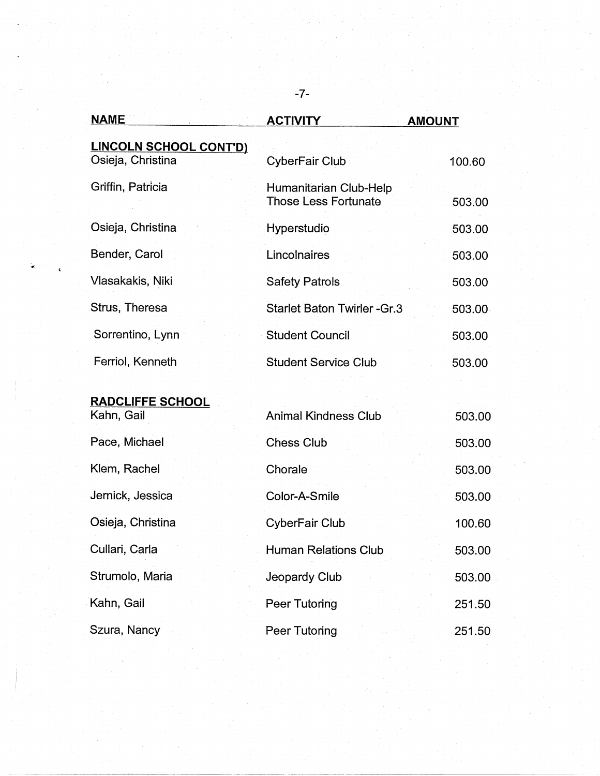| <b>NAME</b>                                        | <b>ACTIVITY</b>                                       | <b>AMOUNT</b> |
|----------------------------------------------------|-------------------------------------------------------|---------------|
| <b>LINCOLN SCHOOL CONT'D)</b><br>Osieja, Christina | CyberFair Club                                        | 100.60        |
| Griffin, Patricia                                  | Humanitarian Club-Help<br><b>Those Less Fortunate</b> | 503.00        |
| Osieja, Christina                                  | Hyperstudio                                           | 503.00        |
| Bender, Carol                                      | Lincolnaires                                          | 503.00        |
| Vlasakakis, Niki                                   | <b>Safety Patrols</b>                                 | 503.00        |
| Strus, Theresa                                     | <b>Starlet Baton Twirler-Gr.3</b>                     | 503.00        |
| Sorrentino, Lynn                                   | <b>Student Council</b>                                | 503.00        |
| Ferriol, Kenneth                                   | <b>Student Service Club</b>                           | 503.00        |
|                                                    |                                                       |               |
| <b>RADCLIFFE SCHOOL</b><br>Kahn, Gail              | <b>Animal Kindness Club</b>                           | 503.00        |
| Pace, Michael                                      | <b>Chess Club</b>                                     | 503.00        |
| Klem, Rachel                                       | Chorale                                               | 503.00        |
| Jernick, Jessica                                   | Color-A-Smile                                         | 503.00        |
| Osieja, Christina                                  | CyberFair Club                                        | 100.60        |
| Cullari, Carla                                     | <b>Human Relations Club</b>                           | 503.00        |
| Strumolo, Maria                                    | Jeopardy Club                                         | 503.00        |
| Kahn, Gail                                         | Peer Tutoring                                         | 251.50        |
| Szura, Nancy                                       | Peer Tutoring                                         | 251.50        |

•

-7-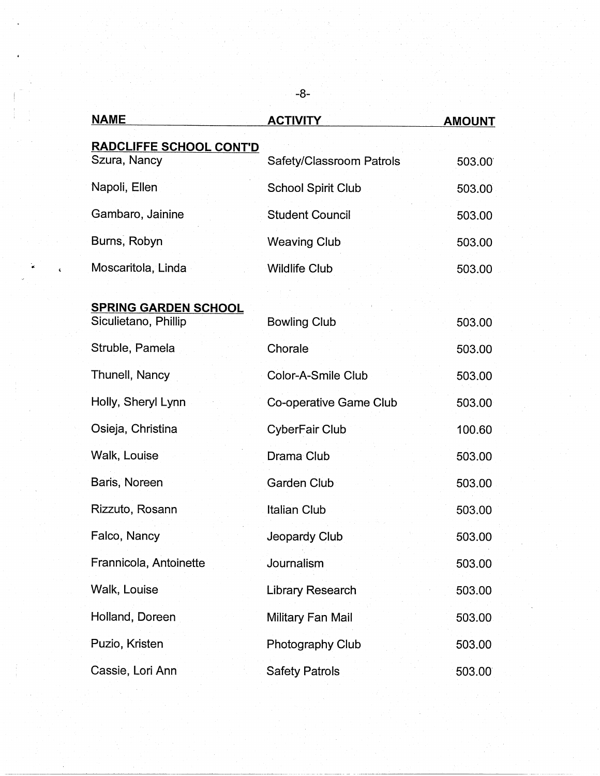|            | <b>NAME</b>                                         | <b>ACTIVITY</b>           | <b>AMOUNT</b> |
|------------|-----------------------------------------------------|---------------------------|---------------|
|            | <b>RADCLIFFE SCHOOL CONT'D</b><br>Szura, Nancy      | Safety/Classroom Patrols  | 503.00        |
|            | Napoli, Ellen                                       | <b>School Spirit Club</b> | 503.00        |
|            | Gambaro, Jainine                                    | <b>Student Council</b>    | 503.00        |
|            | Burns, Robyn                                        | <b>Weaving Club</b>       | 503.00        |
| $\epsilon$ | Moscaritola, Linda                                  | <b>Wildlife Club</b>      | 503.00        |
|            | <b>SPRING GARDEN SCHOOL</b><br>Siculietano, Phillip | <b>Bowling Club</b>       | 503.00        |
|            | Struble, Pamela                                     | Chorale                   | 503.00        |
|            | Thunell, Nancy                                      | Color-A-Smile Club        | 503.00        |
|            | Holly, Sheryl Lynn                                  | Co-operative Game Club    | 503.00        |
|            | Osieja, Christina                                   | CyberFair Club            | 100.60        |
|            | Walk, Louise                                        | Drama Club                | 503.00        |
|            | Baris, Noreen                                       | <b>Garden Club</b>        | 503.00        |
|            | Rizzuto, Rosann                                     | <b>Italian Club</b>       | 503.00        |
|            | Falco, Nancy                                        | Jeopardy Club             | 503.00        |
|            | Frannicola, Antoinette                              | Journalism                | 503.00        |
|            | Walk, Louise                                        | <b>Library Research</b>   | 503.00        |
|            | Holland, Doreen                                     | Military Fan Mail         | 503.00        |
|            | Puzio, Kristen                                      | Photography Club          | 503.00        |
|            | Cassie, Lori Ann                                    | <b>Safety Patrols</b>     | 503.00        |

-8-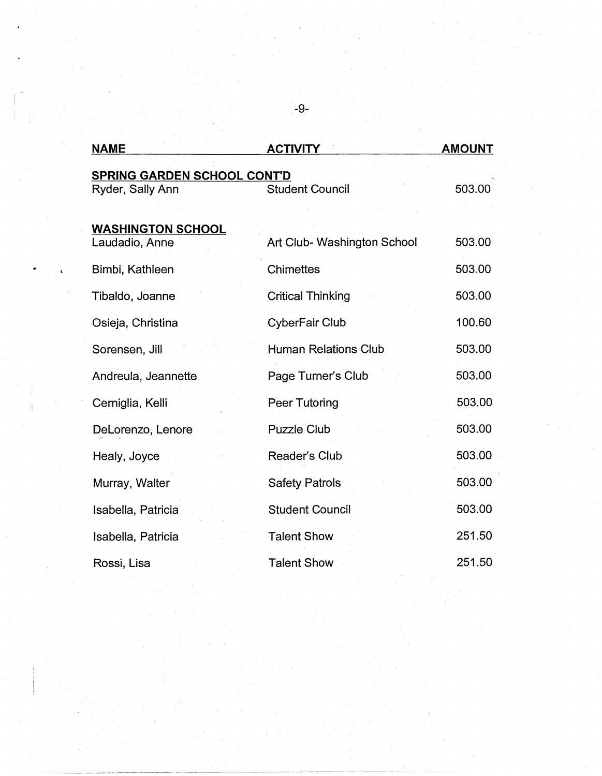|                    | <b>NAME</b>                                            | <b>ACTIVITY</b>             | <b>AMOUNT</b> |
|--------------------|--------------------------------------------------------|-----------------------------|---------------|
|                    | <b>SPRING GARDEN SCHOOL CONT'D</b><br>Ryder, Sally Ann | <b>Student Council</b>      | 503.00        |
|                    | <b>WASHINGTON SCHOOL</b><br>Laudadio, Anne             | Art Club- Washington School | 503.00        |
| $\hat{\mathbf{C}}$ | Bimbi, Kathleen                                        | <b>Chimettes</b>            | 503.00        |
|                    | Tibaldo, Joanne                                        | <b>Critical Thinking</b>    | 503.00        |
|                    | Osieja, Christina                                      | CyberFair Club              | 100.60        |
|                    | Sorensen, Jill                                         | <b>Human Relations Club</b> | 503.00        |
|                    | Andreula, Jeannette                                    | Page Turner's Club          | 503.00        |
|                    | Cerniglia, Kelli                                       | Peer Tutoring               | 503.00        |
|                    | DeLorenzo, Lenore                                      | <b>Puzzle Club</b>          | 503.00        |
|                    | Healy, Joyce                                           | Reader's Club               | 503.00        |
|                    | Murray, Walter                                         | <b>Safety Patrols</b>       | 503.00        |
|                    | Isabella, Patricia                                     | <b>Student Council</b>      | 503.00        |
|                    | Isabella, Patricia                                     | <b>Talent Show</b>          | 251.50        |
|                    | Rossi, Lisa                                            | <b>Talent Show</b>          | 251.50        |

-9-